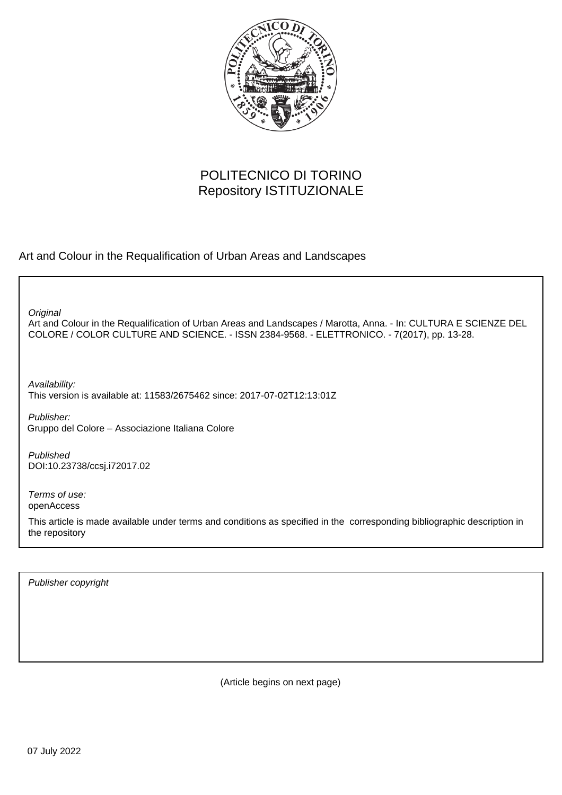

## POLITECNICO DI TORINO Repository ISTITUZIONALE

Art and Colour in the Requalification of Urban Areas and Landscapes

**Original** 

Art and Colour in the Requalification of Urban Areas and Landscapes / Marotta, Anna. - In: CULTURA E SCIENZE DEL COLORE / COLOR CULTURE AND SCIENCE. - ISSN 2384-9568. - ELETTRONICO. - 7(2017), pp. 13-28.

Availability: This version is available at: 11583/2675462 since: 2017-07-02T12:13:01Z

Publisher: Gruppo del Colore – Associazione Italiana Colore

Published DOI:10.23738/ccsj.i72017.02

Terms of use: openAccess

This article is made available under terms and conditions as specified in the corresponding bibliographic description in the repository

Publisher copyright

(Article begins on next page)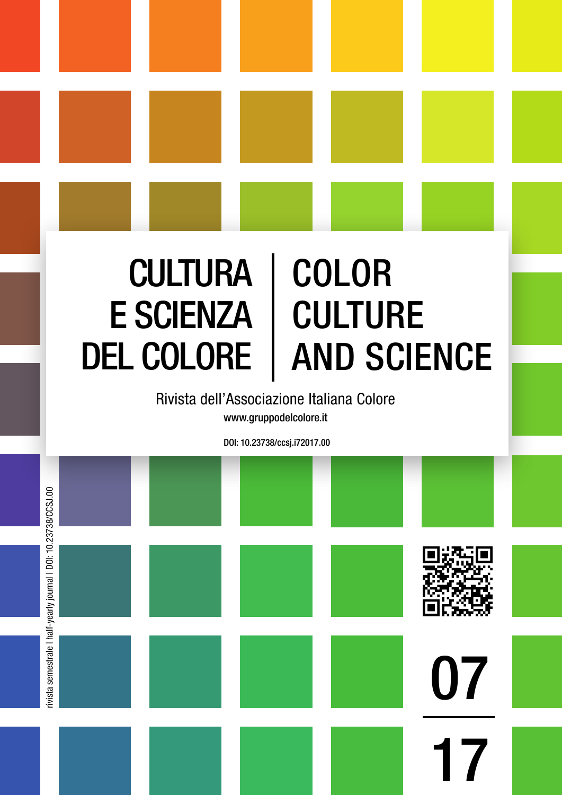# **CULTURA** E SCIENZA DEL COLORE COLOR CULTURE AND SCIENCE

Rivista dell'Associazione Italiana Colore www.gruppodelcolore.it

DOI: 10.23738/ccsj.i72017.00

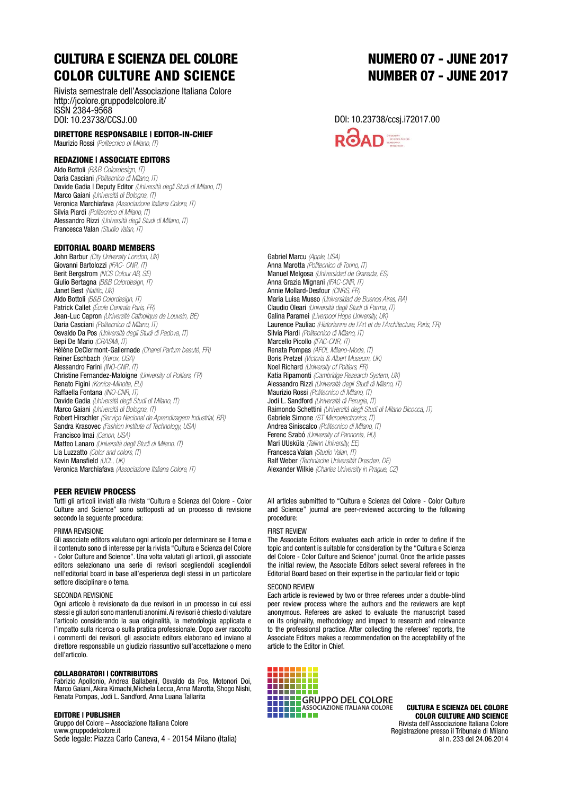# CULTURA E SCIENZA DEL COLORE COLOR CULTURE AND SCIENCE

Rivista semestrale dell'Associazione Italiana Colore http://jcolore.gruppodelcolore.it/ ISSN 2384-9568 DOI: 10.23738/CCSJ.00

DIRETTORE RESPONSABILE | EDITOR-IN-CHIEF Maurizio Rossi *(Politecnico di Milano, IT)*

#### REDAZIONE | ASSOCIATE EDITORS

Aldo Bottoli *(B&B Colordesign, IT)* Daria Casciani *(Politecnico di Milano, IT)* Davide Gadia | Deputy Editor *(Università degli Studi di Milano, IT)* Marco Gaiani *(Università di Bologna, IT)* Veronica Marchiafava *(Associazione Italiana Colore, IT)* Silvia Piardi *(Politecnico di Milano, IT)* Alessandro Rizzi *(Università degli Studi di Milano, IT)* Francesca Valan *(Studio Valan, IT)*

#### EDITORIAL BOARD MEMBERS

John Barbur *(City University London, UK)* Giovanni Bartolozzi *(IFAC- CNR, IT)*  Berit Bergstrom *(NCS Colour AB, SE)* Giulio Bertagna *(B&B Colordesign, IT)* Janet Best *(Natific, UK)* Aldo Bottoli *(B&B Colordesign, IT)* Patrick Callet *(École Centrale Paris, FR)* Jean-Luc Capron *(Université Catholique de Louvain, BE)* Daria Casciani *(Politecnico di Milano, IT)* Osvaldo Da Pos *(Università degli Studi di Padova, IT)* Bepi De Mario *(CRASMI, IT)* Hélène DeClermont-Gallernade *(Chanel Parfum beauté, FR)* Reiner Eschbach *(Xerox, USA)* Alessandro Farini *(INO-CNR, IT)* Christine Fernandez-Maloigne *(University of Poitiers, FR)* Renato Figini *(Konica-Minolta, EU)* Raffaella Fontana *(INO-CNR, IT)* Davide Gadia *(Università degli Studi di Milano, IT)* Marco Gaiani *(Università di Bologna, IT)* Robert Hirschler *(Serviço Nacional de Aprendizagem Industrial, BR)* Sandra Krasovec *(Fashion Institute of Technology, USA)* Francisco Imai *(Canon, USA)* Matteo Lanaro *(Università degli Studi di Milano, IT)* Lia Luzzatto *(Color and colors, IT)* Kevin Mansfield *(UCL, UK)* Veronica Marchiafava *(Associazione Italiana Colore, IT)*

#### PEER REVIEW PROCESS

Tutti gli articoli inviati alla rivista "Cultura e Scienza del Colore - Color Culture and Science" sono sottoposti ad un processo di revisione secondo la sequente procedura:

#### PRIMA REVISIONE

Gli associate editors valutano ogni articolo per determinare se il tema e il contenuto sono di interesse per la rivista "Cultura e Scienza del Colore - Color Culture and Science". Una volta valutati gli articoli, gli associate editors selezionano una serie di revisori scegliendoli scegliendoli nell'editorial board in base all'esperienza degli stessi in un particolare settore disciplinare o tema.

#### SECONDA REVISIONE

Ogni articolo è revisionato da due revisori in un processo in cui essi stessi e gli autori sono mantenuti anonimi. Ai revisori è chiesto di valutare l'articolo considerando la sua originalità, la metodologia applicata e l'impatto sulla ricerca o sulla pratica professionale. Dopo aver raccolto i commenti dei revisori, gli associate editors elaborano ed inviano al direttore responsabile un giudizio riassuntivo sull'accettazione o meno dell'articolo.

#### COLLABORATORI | CONTRIBUTORS

Fabrizio Apollonio, Andrea Ballabeni, Osvaldo da Pos, Motonori Doi, Marco Gaiani, Akira Kimachi,Michela Lecca, Anna Marotta, Shogo Nishi, Renata Pompas, Jodi L. Sandford, Anna Luana Tallarita

#### EDITORE | PUBLISHER

Gruppo del Colore – Associazione Italiana Colore www.gruppodelcolore.it Sede legale: Piazza Carlo Caneva, 4 - 20154 Milano (Italia)

## 07 NUMERO 07 - JUNE 2017 NUMBER 07 - JUNE 2017

#### DOI: 10.23738/ccsj.i72017.00



Gabriel Marcu *(Apple, USA)* Anna Marotta *(Politecnico di Torino, IT)* Manuel Melgosa *(Universidad de Granada, ES)* Anna Grazia Mignani *(IFAC-CNR, IT)* Annie Mollard-Desfour *(CNRS, FR)* Maria Luisa Musso *(Universidad de Buenos Aires, RA)* Claudio Oleari *(Università degli Studi di Parma, IT)* Galina Paramei *(Liverpool Hope University, UK)* Laurence Pauliac *(Historienne de l'Art et de l'Architecture, Paris, FR)* Silvia Piardi *(Politecnico di Milano, IT)* Marcello Picollo *(IFAC-CNR, IT)* Renata Pompas *(AFOL Milano-Moda, IT)* Boris Pretzel *(Victoria & Albert Museum, UK)* Noel Richard *(University of Poitiers, FR)* Katia Ripamonti *(Cambridge Research System, UK)* Alessandro Rizzi *(Università degli Studi di Milano, IT)* Maurizio Rossi *(Politecnico di Milano, IT)* Jodi L. Sandford *(Università di Perugia, IT)* Raimondo Schettini *(Università degli Studi di Milano Bicocca, IT)* Gabriele Simone *(ST Microelectronics, IT)* Andrea Siniscalco *(Politecnico di Milano, IT)* Ferenc Szabó *(University of Pannonia, HU)* Mari UUsküla *(Tallinn University, EE)* Francesca Valan *(Studio Valan, IT)* Ralf Weber *(Technische Universität Dresden, DE)* Alexander Wilkie *(Charles University in Prague, CZ)*

All articles submitted to "Cultura e Scienza del Colore - Color Culture and Science" journal are peer-reviewed according to the following procedure:

#### FIRST REVIEW

The Associate Editors evaluates each article in order to define if the topic and content is suitable for consideration by the "Cultura e Scienza del Colore - Color Culture and Science" journal. Once the article passes the initial review, the Associate Editors select several referees in the Editorial Board based on their expertise in the particular field or topic

#### SECOND REVIEW

Each article is reviewed by two or three referees under a double-blind peer review process where the authors and the reviewers are kept anonymous. Referees are asked to evaluate the manuscript based on its originality, methodology and impact to research and relevance to the professional practice. After collecting the referees' reports, the Associate Editors makes a recommendation on the acceptability of the article to the Editor in Chief.



CULTURA E SCIENZA DEL COLORE COLOR CULTURE AND SCIENCE Rivista dell'Associazione Italiana Colore Registrazione presso il Tribunale di Milano al n. 233 del 24.06.2014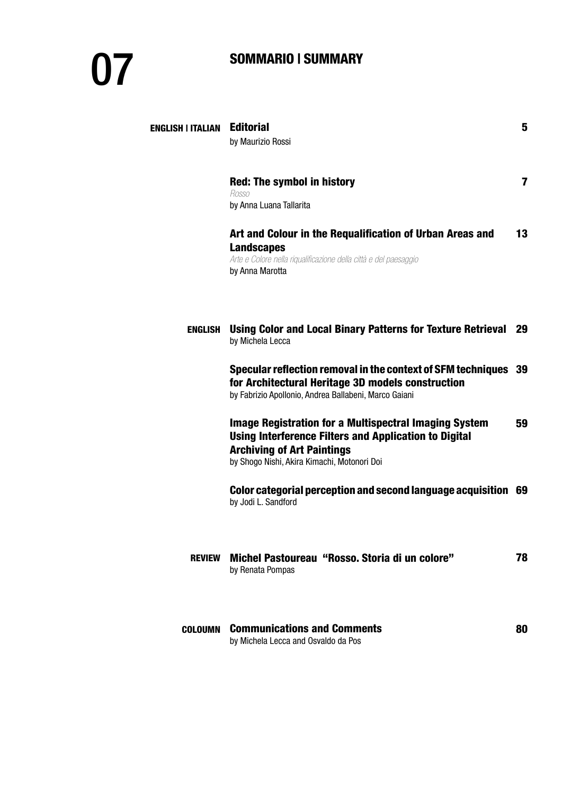# SOMMARIO | SUMMARY

| <b>ENGLISH   ITALIAN</b> | <b>Editorial</b>                                                                                                                                                                                                 | 5  |
|--------------------------|------------------------------------------------------------------------------------------------------------------------------------------------------------------------------------------------------------------|----|
|                          | by Maurizio Rossi                                                                                                                                                                                                |    |
|                          | <b>Red: The symbol in history</b><br>Rosso<br>by Anna Luana Tallarita                                                                                                                                            | 7  |
|                          | Art and Colour in the Requalification of Urban Areas and<br><b>Landscapes</b><br>Arte e Colore nella riqualificazione della città e del paesaggio<br>by Anna Marotta                                             | 13 |
| ENGLISH                  | Using Color and Local Binary Patterns for Texture Retrieval 29<br>by Michela Lecca                                                                                                                               |    |
|                          | Specular reflection removal in the context of SFM techniques 39<br>for Architectural Heritage 3D models construction<br>by Fabrizio Apollonio, Andrea Ballabeni, Marco Gaiani                                    |    |
|                          | <b>Image Registration for a Multispectral Imaging System</b><br><b>Using Interference Filters and Application to Digital</b><br><b>Archiving of Art Paintings</b><br>by Shogo Nishi, Akira Kimachi, Motonori Doi | 59 |
|                          | Color categorial perception and second language acquisition 69<br>by Jodi L. Sandford                                                                                                                            |    |
| <b>REVIEW</b>            | Michel Pastoureau "Rosso. Storia di un colore"<br>by Renata Pompas                                                                                                                                               | 78 |
| COLOUMN                  | <b>Communications and Comments</b><br>by Michela Lecca and Osvaldo da Pos                                                                                                                                        | 80 |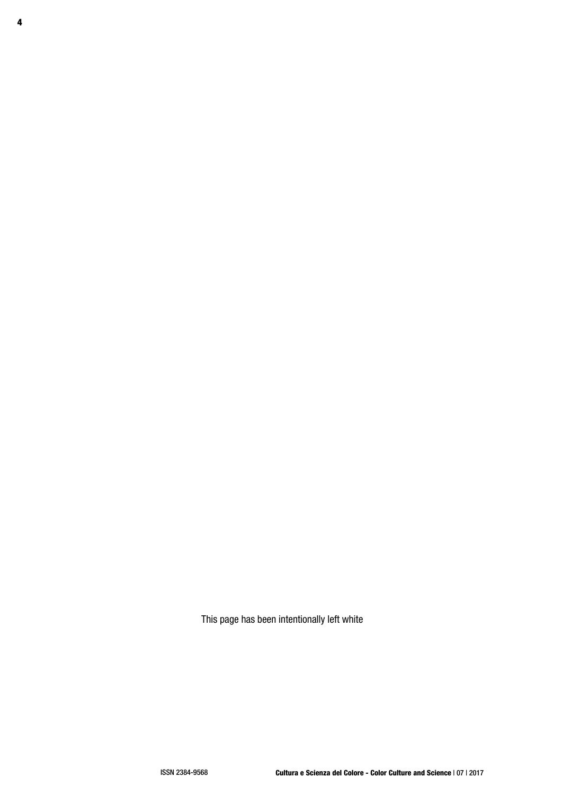This page has been intentionally left white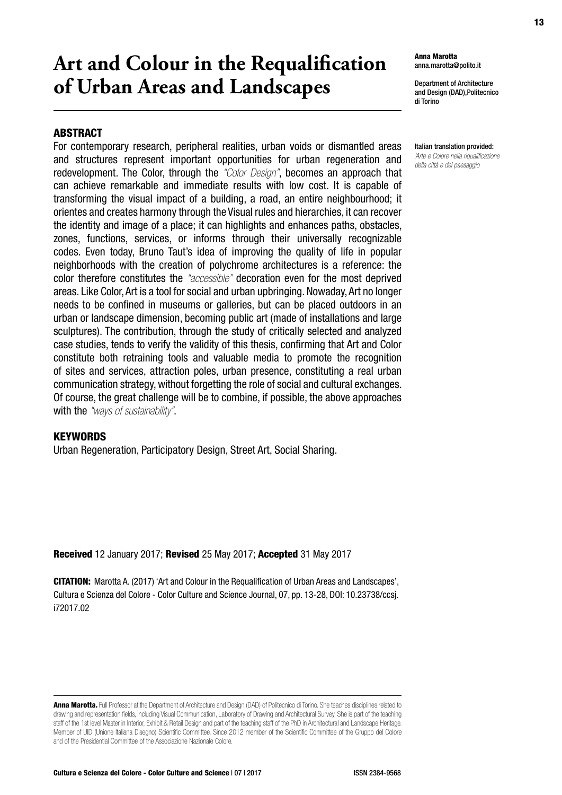# **Art and Colour in the Requalification of Urban Areas and Landscapes**

## **ABSTRACT**

For contemporary research, peripheral realities, urban voids or dismantled areas and structures represent important opportunities for urban regeneration and redevelopment. The Color, through the *"Color Design"*, becomes an approach that can achieve remarkable and immediate results with low cost. It is capable of transforming the visual impact of a building, a road, an entire neighbourhood; it orientes and creates harmony through the Visual rules and hierarchies, it can recover the identity and image of a place; it can highlights and enhances paths, obstacles, zones, functions, services, or informs through their universally recognizable codes. Even today, Bruno Taut's idea of improving the quality of life in popular neighborhoods with the creation of polychrome architectures is a reference: the color therefore constitutes the *"accessible"* decoration even for the most deprived areas. Like Color, Art is a tool for social and urban upbringing. Nowaday, Art no longer needs to be confined in museums or galleries, but can be placed outdoors in an urban or landscape dimension, becoming public art (made of installations and large sculptures). The contribution, through the study of critically selected and analyzed case studies, tends to verify the validity of this thesis, confirming that Art and Color constitute both retraining tools and valuable media to promote the recognition of sites and services, attraction poles, urban presence, constituting a real urban communication strategy, without forgetting the role of social and cultural exchanges. Of course, the great challenge will be to combine, if possible, the above approaches with the *"ways of sustainability"*.

## **KEYWORDS**

Urban Regeneration, Participatory Design, Street Art, Social Sharing.

Received 12 January 2017; Revised 25 May 2017; Accepted 31 May 2017

CITATION: Marotta A. (2017) 'Art and Colour in the Requalification of Urban Areas and Landscapes', Cultura e Scienza del Colore - Color Culture and Science Journal, 07, pp. 13-28, DOI: 10.23738/ccsj. i72017.02

Anna Marotta. Full Professor at the Department of Architecture and Design (DAD) of Politecnico di Torino. She teaches disciplines related to drawing and representation fields, including Visual Communication, Laboratory of Drawing and Architectural Survey. She is part of the teaching staff of the 1st level Master in Interior, Exhibit & Retail Design and part of the teaching staff of the PhD in Architectural and Landscape Heritage. Member of UID (Unione Italiana Disegno) Scientific Committee. Since 2012 member of the Scientific Committee of the Gruppo del Colore and of the Presidential Committee of the Associazione Nazionale Colore.

Cultura e Scienza del Colore - Color Culture and Science | 07 | 2017 ISSN 2384-9568

Department of Architecture and Design (DAD),Politecnico di Torino

Italian translation provided: *'Arte e Colore nella riqualificazione della città e del paesaggio*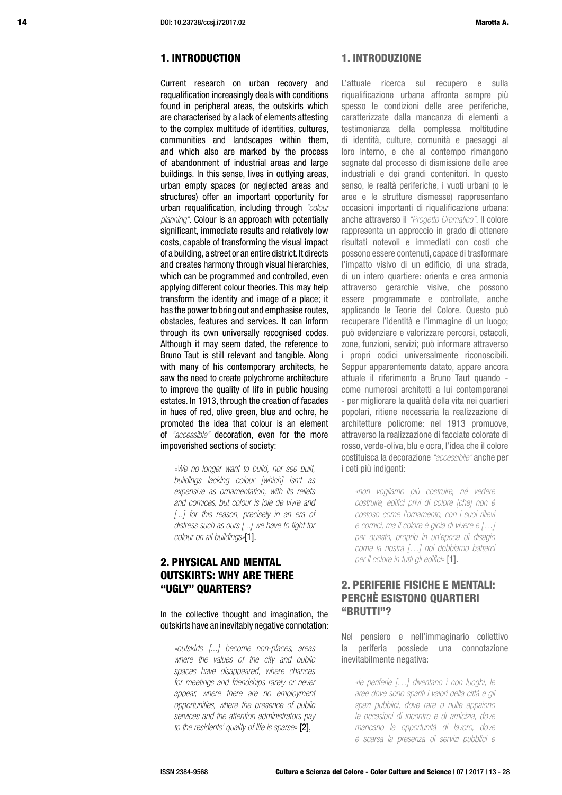## 1. INTRODUCTION

Current research on urban recovery and requalification increasingly deals with conditions found in peripheral areas, the outskirts which are characterised by a lack of elements attesting to the complex multitude of identities, cultures, communities and landscapes within them, and which also are marked by the process of abandonment of industrial areas and large buildings. In this sense, lives in outlying areas, urban empty spaces (or neglected areas and structures) offer an important opportunity for urban requalification, including through *"colour planning"*. Colour is an approach with potentially significant, immediate results and relatively low costs, capable of transforming the visual impact of a building, a street or an entire district. It directs and creates harmony through visual hierarchies, which can be programmed and controlled, even applying different colour theories. This may help transform the identity and image of a place; it has the power to bring out and emphasise routes, obstacles, features and services. It can inform through its own universally recognised codes. Although it may seem dated, the reference to Bruno Taut is still relevant and tangible. Along with many of his contemporary architects, he saw the need to create polychrome architecture to improve the quality of life in public housing estates. In 1913, through the creation of facades in hues of red, olive green, blue and ochre, he promoted the idea that colour is an element of *"accessible"* decoration, even for the more impoverished sections of society:

*«We no longer want to build, nor see built, buildings lacking colour [which] isn't as expensive as ornamentation, with its reliefs and cornices, but colour is joie de vivre and [...] for this reason, precisely in an era of distress such as ours [...] we have to fight for colour on all buildings»*[1].

## 2. PHYSICAL AND MENTAL OUTSKIRTS: WHY ARE THERE "UGLY" QUARTERS?

In the collective thought and imagination, the outskirts have an inevitably negative connotation:

*«outskirts [...] become non-places, areas where the values of the city and public spaces have disappeared, where chances for meetings and friendships rarely or never appear, where there are no employment opportunities, where the presence of public services and the attention administrators pay to the residents' quality of life is sparse »* [2],

### 1. INTRODUZIONE

L'attuale ricerca sul recupero e sulla riqualificazione urbana affronta sempre più spesso le condizioni delle aree periferiche, caratterizzate dalla mancanza di elementi a testimonianza della complessa moltitudine di identità, culture, comunità e paesaggi al loro interno, e che al contempo rimangono segnate dal processo di dismissione delle aree industriali e dei grandi contenitori. In questo senso, le realtà periferiche, i vuoti urbani (o le aree e le strutture dismesse) rappresentano occasioni importanti di riqualificazione urbana: anche attraverso il *"Progetto Cromatico"*. Il colore rappresenta un approccio in grado di ottenere risultati notevoli e immediati con costi che possono essere contenuti, capace di trasformare l'impatto visivo di un edificio, di una strada, di un intero quartiere: orienta e crea armonia attraverso gerarchie visive, che possono essere programmate e controllate, anche applicando le Teorie del Colore. Questo può recuperare l'identità e l'immagine di un luogo; può evidenziare e valorizzare percorsi, ostacoli, zone, funzioni, servizi; può informare attraverso i propri codici universalmente riconoscibili. Seppur apparentemente datato, appare ancora attuale il riferimento a Bruno Taut quando come numerosi architetti a lui contemporanei - per migliorare la qualità della vita nei quartieri popolari, ritiene necessaria la realizzazione di architetture policrome: nel 1913 promuove, attraverso la realizzazione di facciate colorate di rosso, verde-oliva, blu e ocra, l'idea che il colore costituisca la decorazione *"accessibile"* anche per i ceti più indigenti:

*«non vogliamo più costruire, né vedere costruire, edifici privi di colore [che] non è costoso come l'ornamento, con i suoi rilievi e cornici, ma il colore è gioia di vivere e […] per questo, proprio in un'epoca di disagio come la nostra […] noi dobbiamo batterci per il colore in tutti gli edifici»* [1].

## 2. PERIFERIE FISICHE E MENTALI: PERCHÈ ESISTONO QUARTIERI "BRUTTI"?

Nel pensiero e nell'immaginario collettivo la periferia possiede una connotazione inevitabilmente negativa:

*«le periferie […] diventano i non luoghi, le aree dove sono spariti i valori della città e gli spazi pubblici, dove rare o nulle appaiono le occasioni di incontro e di amicizia, dove mancano le opportunità di lavoro, dove è scarsa la presenza di servizi pubblici e*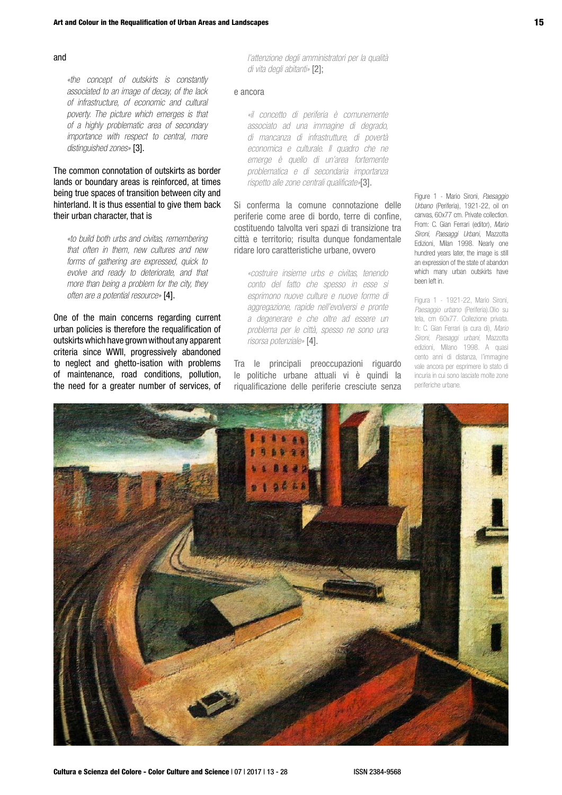#### and

*«the concept of outskirts is constantly associated to an image of decay, of the lack of infrastructure, of economic and cultural poverty. The picture which emerges is that of a highly problematic area of secondary importance with respect to central, more distinguished zones»* [3].

The common connotation of outskirts as border lands or boundary areas is reinforced, at times being true spaces of transition between city and hinterland. It is thus essential to give them back their urban character, that is

*«to build both urbs and civitas, remembering that often in them, new cultures and new forms of gathering are expressed, quick to evolve and ready to deteriorate, and that more than being a problem for the city, they often are a potential resource»* [4].

One of the main concerns regarding current urban policies is therefore the requalification of outskirts which have grown without any apparent criteria since WWII, progressively abandoned to neglect and ghetto-isation with problems of maintenance, road conditions, pollution, the need for a greater number of services, of

*l'attenzione degli amministratori per la qualità di vita degli abitanti»* [2];

#### e ancora

*«il concetto di periferia è comunemente associato ad una immagine di degrado, di mancanza di infrastrutture, di povertà economica e culturale. Il quadro che ne emerge è quello di un'area fortemente problematica e di secondaria importanza rispetto alle zone centrali qualificate»*[3].

Si conferma la comune connotazione delle periferie come aree di bordo, terre di confine, costituendo talvolta veri spazi di transizione tra città e territorio; risulta dunque fondamentale ridare loro caratteristiche urbane, ovvero

*«costruire insieme urbs e civitas, tenendo conto del fatto che spesso in esse si esprimono nuove culture e nuove forme di aggregazione, rapide nell'evolversi e pronte a degenerare e che oltre ad essere un problema per le città, spesso ne sono una risorsa potenziale»* [4].

Tra le principali preoccupazioni riguardo le politiche urbane attuali vi è quindi la riqualificazione delle periferie cresciute senza Figure 1 - Mario Sironi, *Paesaggio Urbano* (Periferia), 1921-22, oil on canvas, 60x77 cm. Private collection. From: C. Gian Ferrari (editor), *Mario Sironi, Paesaggi Urbani*, Mazzotta Edizioni, Milan 1998. Nearly one hundred years later, the image is still an expression of the state of abandon which many urban outskirts have been left in.

Figura 1 - 1921-22, Mario Sironi, *Paesaggio urbano* (Periferia).Olio su tela, cm 60x77. Collezione privata. In: C. Gian Ferrari (a cura di), *Mario Sironi, Paesaggi urbani*, Mazzotta edizioni, Milano 1998. A quasi cento anni di distanza, l'immagine vale ancora per esprimere lo stato di incuria in cui sono lasciate molte zone periferiche urbane.

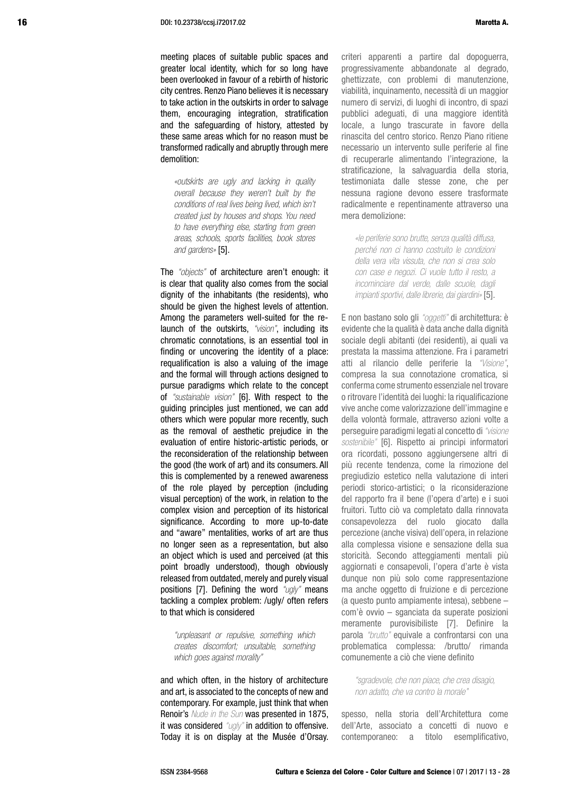meeting places of suitable public spaces and greater local identity, which for so long have been overlooked in favour of a rebirth of historic city centres. Renzo Piano believes it is necessary to take action in the outskirts in order to salvage them, encouraging integration, stratification and the safeguarding of history, attested by these same areas which for no reason must be transformed radically and abruptly through mere demolition:

*«outskirts are ugly and lacking in quality overall because they weren't built by the conditions of real lives being lived, which isn't created just by houses and shops. You need to have everything else, starting from green areas, schools, sports facilities, book stores and gardens »* [5].

The *"objects"* of architecture aren't enough: it is clear that quality also comes from the social dignity of the inhabitants (the residents), who should be given the highest levels of attention. Among the parameters well-suited for the relaunch of the outskirts, *"vision"*, including its chromatic connotations, is an essential tool in finding or uncovering the identity of a place: requalification is also a valuing of the image and the formal will through actions designed to pursue paradigms which relate to the concept of *"sustainable vision"* [6]. With respect to the guiding principles just mentioned, we can add others which were popular more recently, such as the removal of aesthetic prejudice in the evaluation of entire historic-artistic periods, or the reconsideration of the relationship between the good (the work of art) and its consumers. All this is complemented by a renewed awareness of the role played by perception (including visual perception) of the work, in relation to the complex vision and perception of its historical significance. According to more up-to-date and "aware" mentalities, works of art are thus no longer seen as a representation, but also an object which is used and perceived (at this point broadly understood), though obviously released from outdated, merely and purely visual positions [7]. Defining the word *"ugly"* means tackling a complex problem: /ugly/ often refers to that which is considered

*"unpleasant or repulsive, something which creates discomfort; unsuitable, something which goes against morality"*

and which often, in the history of architecture and art, is associated to the concepts of new and contemporary. For example, just think that when Renoir's *Nude in the Sun* was presented in 1875, it was considered *"ugly"* in addition to offensive. Today it is on display at the Musée d'Orsay. criteri apparenti a partire dal dopoguerra, progressivamente abbandonate al degrado, ghettizzate, con problemi di manutenzione, viabilità, inquinamento, necessità di un maggior numero di servizi, di luoghi di incontro, di spazi pubblici adeguati, di una maggiore identità locale, a lungo trascurate in favore della rinascita del centro storico. Renzo Piano ritiene necessario un intervento sulle periferie al fine di recuperarle alimentando l'integrazione, la stratificazione, la salvaguardia della storia, testimoniata dalle stesse zone, che per nessuna ragione devono essere trasformate radicalmente e repentinamente attraverso una mera demolizione:

*«le periferie sono brutte, senza qualità diffusa, perché non ci hanno costruito le condizioni della vera vita vissuta, che non si crea solo con case e negozi. Ci vuole tutto il resto, a incominciare dal verde, dalle scuole, dagli impianti sportivi, dalle librerie, dai giardini»* [5].

E non bastano solo gli *"oggetti"* di architettura: è evidente che la qualità è data anche dalla dignità sociale degli abitanti (dei residenti), ai quali va prestata la massima attenzione. Fra i parametri atti al rilancio delle periferie la *"Visione"*, compresa la sua connotazione cromatica, si conferma come strumento essenziale nel trovare o ritrovare l'identità dei luoghi: la riqualificazione vive anche come valorizzazione dell'immagine e della volontà formale, attraverso azioni volte a perseguire paradigmi legati al concetto di *"visione sostenibile"* [6]. Rispetto ai principi informatori ora ricordati, possono aggiungersene altri di più recente tendenza, come la rimozione del pregiudizio estetico nella valutazione di interi periodi storico-artistici; o la riconsiderazione del rapporto fra il bene (l'opera d'arte) e i suoi fruitori. Tutto ciò va completato dalla rinnovata consapevolezza del ruolo giocato dalla percezione (anche visiva) dell'opera, in relazione alla complessa visione e sensazione della sua storicità. Secondo atteggiamenti mentali più aggiornati e consapevoli, l'opera d'arte è vista dunque non più solo come rappresentazione ma anche oggetto di fruizione e di percezione (a questo punto ampiamente intesa), sebbene – com'è ovvio – sganciata da superate posizioni meramente purovisibiliste [7]. Definire la parola *"brutto"* equivale a confrontarsi con una problematica complessa: /brutto/ rimanda comunemente a ciò che viene definito

*"sgradevole, che non piace, che crea disagio, non adatto, che va contro la morale"*

spesso, nella storia dell'Architettura come dell'Arte, associato a concetti di nuovo e contemporaneo: a titolo esemplificativo,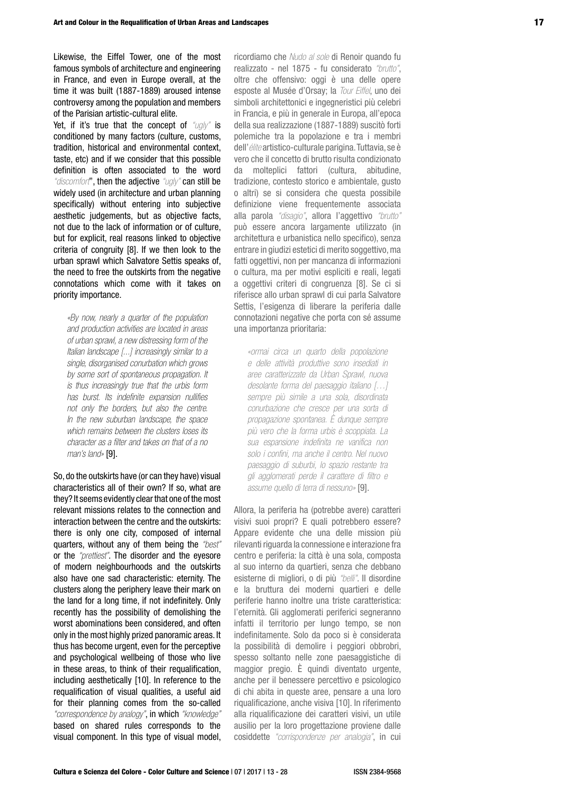Likewise, the Eiffel Tower, one of the most famous symbols of architecture and engineering in France, and even in Europe overall, at the time it was built (1887-1889) aroused intense controversy among the population and members of the Parisian artistic-cultural elite.

Yet, if it's true that the concept of *"ugly"* is conditioned by many factors (culture, customs, tradition, historical and environmental context, taste, etc) and if we consider that this possible definition is often associated to the word *"discomfort*", then the adjective *"ugly"* can still be widely used (in architecture and urban planning specifically) without entering into subjective aesthetic judgements, but as objective facts, not due to the lack of information or of culture, but for explicit, real reasons linked to objective criteria of congruity [8]. If we then look to the urban sprawl which Salvatore Settis speaks of, the need to free the outskirts from the negative connotations which come with it takes on priority importance.

*«By now, nearly a quarter of the population and production activities are located in areas of urban sprawl, a new distressing form of the Italian landscape [...] increasingly similar to a single, disorganised conurbation which grows by some sort of spontaneous propagation. It is thus increasingly true that the urbis form has burst. Its indefinite expansion nullifies not only the borders, but also the centre. In the new suburban landscape, the space which remains between the clusters loses its character as a filter and takes on that of a no man's land»* [9].

So, do the outskirts have (or can they have) visual characteristics all of their own? If so, what are they? It seems evidently clear that one of the most relevant missions relates to the connection and interaction between the centre and the outskirts: there is only one city, composed of internal quarters, without any of them being the *"best"* or the *"prettiest"*. The disorder and the eyesore of modern neighbourhoods and the outskirts also have one sad characteristic: eternity. The clusters along the periphery leave their mark on the land for a long time, if not indefinitely. Only recently has the possibility of demolishing the worst abominations been considered, and often only in the most highly prized panoramic areas. It thus has become urgent, even for the perceptive and psychological wellbeing of those who live in these areas, to think of their requalification, including aesthetically [10]. In reference to the requalification of visual qualities, a useful aid for their planning comes from the so-called *"correspondence by analogy"*, in which *"knowledge"* based on shared rules corresponds to the visual component. In this type of visual model,

ricordiamo che *Nudo al sole* di Renoir quando fu realizzato - nel 1875 - fu considerato *"brutto"*, oltre che offensivo: oggi è una delle opere esposte al Musée d'Orsay; la *Tour Eiffel*, uno dei simboli architettonici e ingegneristici più celebri in Francia, e più in generale in Europa, all'epoca della sua realizzazione (1887-1889) suscitò forti polemiche tra la popolazione e tra i membri dell'*élite* artistico-culturale parigina. Tuttavia, se è vero che il concetto di brutto risulta condizionato da molteplici fattori (cultura, abitudine, tradizione, contesto storico e ambientale, gusto o altri) se si considera che questa possibile definizione viene frequentemente associata alla parola *"disagio"*, allora l'aggettivo *"brutto"* può essere ancora largamente utilizzato (in architettura e urbanistica nello specifico), senza entrare in giudizi estetici di merito soggettivo, ma fatti oggettivi, non per mancanza di informazioni o cultura, ma per motivi espliciti e reali, legati a oggettivi criteri di congruenza [8]. Se ci si riferisce allo urban sprawl di cui parla Salvatore Settis, l'esigenza di liberare la periferia dalle connotazioni negative che porta con sé assume una importanza prioritaria:

*«ormai circa un quarto della popolazione e delle attività produttive sono insediati in aree caratterizzate da Urban Sprawl, nuova desolante forma del paesaggio italiano […] sempre più simile a una sola, disordinata conurbazione che cresce per una sorta di propagazione spontanea. È dunque sempre più vero che la forma urbis è scoppiata. La sua espansione indefinita ne vanifica non solo i confini, ma anche il centro. Nel nuovo paesaggio di suburbi, lo spazio restante tra gli agglomerati perde il carattere di filtro e assume quello di terra di nessuno»* [9].

Allora, la periferia ha (potrebbe avere) caratteri visivi suoi propri? E quali potrebbero essere? Appare evidente che una delle mission più rilevanti riguarda la connessione e interazione fra centro e periferia: la città è una sola, composta al suo interno da quartieri, senza che debbano esisterne di migliori, o di più *"belli"*. Il disordine e la bruttura dei moderni quartieri e delle periferie hanno inoltre una triste caratteristica: l'eternità. Gli agglomerati periferici segneranno infatti il territorio per lungo tempo, se non indefinitamente. Solo da poco si è considerata la possibilità di demolire i peggiori obbrobri, spesso soltanto nelle zone paesaggistiche di maggior pregio. È quindi diventato urgente, anche per il benessere percettivo e psicologico di chi abita in queste aree, pensare a una loro riqualificazione, anche visiva [10]. In riferimento alla riqualificazione dei caratteri visivi, un utile ausilio per la loro progettazione proviene dalle cosiddette *"corrispondenze per analogia"*, in cui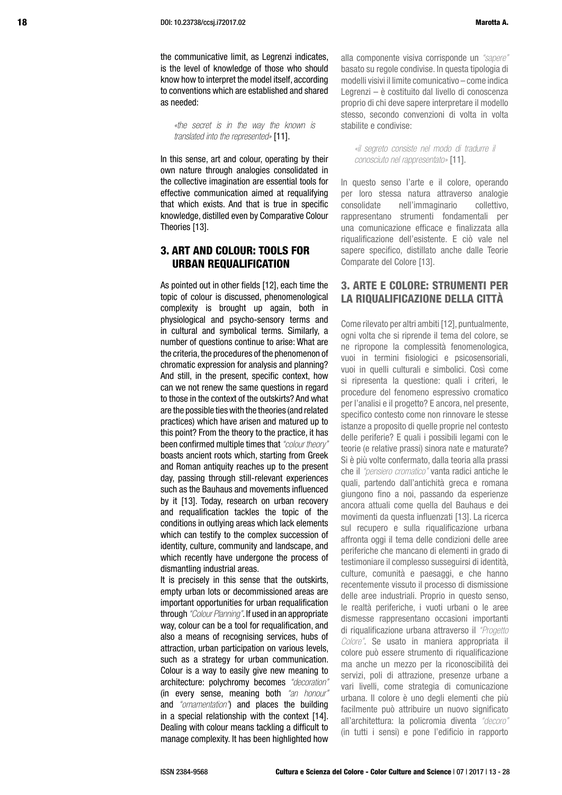the communicative limit, as Legrenzi indicates, is the level of knowledge of those who should know how to interpret the model itself, according to conventions which are established and shared as needed:

*«the secret is in the way the known is translated into the represented»* [11].

In this sense, art and colour, operating by their own nature through analogies consolidated in the collective imagination are essential tools for effective communication aimed at requalifying that which exists. And that is true in specific knowledge, distilled even by Comparative Colour Theories [13].

## 3. ART AND COLOUR: TOOLS FOR URBAN REQUALIFICATION

As pointed out in other fields [12], each time the topic of colour is discussed, phenomenological complexity is brought up again, both in physiological and psycho-sensory terms and in cultural and symbolical terms. Similarly, a number of questions continue to arise: What are the criteria, the procedures of the phenomenon of chromatic expression for analysis and planning? And still, in the present, specific context, how can we not renew the same questions in regard to those in the context of the outskirts? And what are the possible ties with the theories (and related practices) which have arisen and matured up to this point? From the theory to the practice, it has been confirmed multiple times that *"colour theory"* boasts ancient roots which, starting from Greek and Roman antiquity reaches up to the present day, passing through still-relevant experiences such as the Bauhaus and movements influenced by it [13]. Today, research on urban recovery and requalification tackles the topic of the conditions in outlying areas which lack elements which can testify to the complex succession of identity, culture, community and landscape, and which recently have undergone the process of dismantling industrial areas.

It is precisely in this sense that the outskirts, empty urban lots or decommissioned areas are important opportunities for urban requalification through *"Colour Planning"*. If used in an appropriate way, colour can be a tool for requalification, and also a means of recognising services, hubs of attraction, urban participation on various levels, such as a strategy for urban communication. Colour is a way to easily give new meaning to architecture: polychromy becomes *"decoration"*  (in every sense, meaning both *"an honour"*  and *"ornamentation"*) and places the building in a special relationship with the context [14]. Dealing with colour means tackling a difficult to manage complexity. It has been highlighted how alla componente visiva corrisponde un *"sapere"*  basato su regole condivise. In questa tipologia di modelli visivi il limite comunicativo – come indica Legrenzi – è costituito dal livello di conoscenza proprio di chi deve sapere interpretare il modello stesso, secondo convenzioni di volta in volta stabilite e condivise:

*«il segreto consiste nel modo di tradurre il conosciuto nel rappresentato»* [11].

In questo senso l'arte e il colore, operando per loro stessa natura attraverso analogie consolidate nell'immaginario collettivo, rappresentano strumenti fondamentali per una comunicazione efficace e finalizzata alla riqualificazione dell'esistente. E ciò vale nel sapere specifico, distillato anche dalle Teorie Comparate del Colore [13].

## 3. ARTE E COLORE: STRUMENTI PER LA RIQUALIFICAZIONE DELLA CITTÀ

Come rilevato per altri ambiti [12], puntualmente, ogni volta che si riprende il tema del colore, se ne ripropone la complessità fenomenologica, vuoi in termini fisiologici e psicosensoriali, vuoi in quelli culturali e simbolici. Così come si ripresenta la questione: quali i criteri, le procedure del fenomeno espressivo cromatico per l'analisi e il progetto? E ancora, nel presente, specifico contesto come non rinnovare le stesse istanze a proposito di quelle proprie nel contesto delle periferie? E quali i possibili legami con le teorie (e relative prassi) sinora nate e maturate? Si è più volte confermato, dalla teoria alla prassi che il *"pensiero cromatico"* vanta radici antiche le quali, partendo dall'antichità greca e romana giungono fino a noi, passando da esperienze ancora attuali come quella del Bauhaus e dei movimenti da questa influenzati [13]. La ricerca sul recupero e sulla riqualificazione urbana affronta oggi il tema delle condizioni delle aree periferiche che mancano di elementi in grado di testimoniare il complesso susseguirsi di identità, culture, comunità e paesaggi, e che hanno recentemente vissuto il processo di dismissione delle aree industriali. Proprio in questo senso, le realtà periferiche, i vuoti urbani o le aree dismesse rappresentano occasioni importanti di riqualificazione urbana attraverso il *"Progetto Colore"*. Se usato in maniera appropriata il colore può essere strumento di riqualificazione ma anche un mezzo per la riconoscibilità dei servizi, poli di attrazione, presenze urbane a vari livelli, come strategia di comunicazione urbana. Il colore è uno degli elementi che più facilmente può attribuire un nuovo significato all'architettura: la policromia diventa *"decoro"*  (in tutti i sensi) e pone l'edificio in rapporto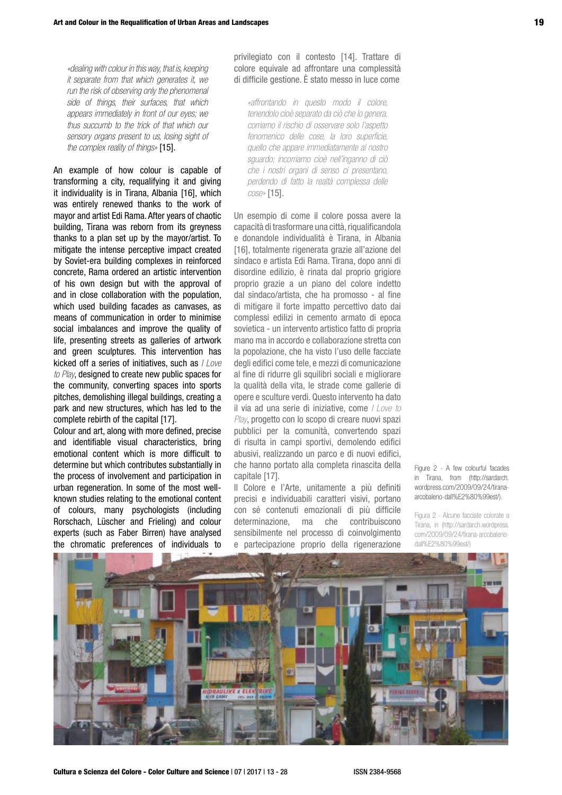*«dealing with colour in this way, that is, keeping it separate from that which generates it, we run the risk of observing only the phenomenal side of things, their surfaces, that which appears immediately in front of our eyes; we thus succumb to the trick of that which our sensory organs present to us, losing sight of the complex reality of things»* [15].

An example of how colour is capable of transforming a city, requalifying it and giving it individuality is in Tirana, Albania [16], which was entirely renewed thanks to the work of mayor and artist Edi Rama. After years of chaotic building, Tirana was reborn from its greyness thanks to a plan set up by the mayor/artist. To mitigate the intense perceptive impact created by Soviet-era building complexes in reinforced concrete, Rama ordered an artistic intervention of his own design but with the approval of and in close collaboration with the population, which used building facades as canvases, as means of communication in order to minimise social imbalances and improve the quality of life, presenting streets as galleries of artwork and green sculptures. This intervention has kicked off a series of initiatives, such as *I Love to Play*, designed to create new public spaces for the community, converting spaces into sports pitches, demolishing illegal buildings, creating a park and new structures, which has led to the complete rebirth of the capital [17].

Colour and art, along with more defined, precise and identifiable visual characteristics, bring emotional content which is more difficult to determine but which contributes substantially in the process of involvement and participation in urban regeneration. In some of the most wellknown studies relating to the emotional content of colours, many psychologists (including Rorschach, Lüscher and Frieling) and colour experts (such as Faber Birren) have analysed the chromatic preferences of individuals to

privilegiato con il contesto [14]. Trattare di colore equivale ad affrontare una complessità di difficile gestione. È stato messo in luce come

*«affrontando in questo modo il colore, tenendolo cioè separato da ciò che lo genera, corriamo il rischio di osservare solo l'aspetto fenomenico delle cose, la loro superficie, quello che appare immediatamente al nostro sguardo; incorriamo cioè nell'inganno di ciò che i nostri organi di senso ci presentano, perdendo di fatto la realtà complessa delle cose»* [15].

Un esempio di come il colore possa avere la capacità di trasformare una città, riqualificandola e donandole individualità è Tirana, in Albania [16], totalmente rigenerata grazie all'azione del sindaco e artista Edi Rama. Tirana, dopo anni di disordine edilizio, è rinata dal proprio grigiore proprio grazie a un piano del colore indetto dal sindaco/artista, che ha promosso - al fine di mitigare il forte impatto percettivo dato dai complessi edilizi in cemento armato di epoca sovietica - un intervento artistico fatto di propria mano ma in accordo e collaborazione stretta con la popolazione, che ha visto l'uso delle facciate degli edifici come tele, e mezzi di comunicazione al fine di ridurre gli squilibri sociali e migliorare la qualità della vita, le strade come gallerie di opere e sculture verdi. Questo intervento ha dato il via ad una serie di iniziative, come *I Love to Play*, progetto con lo scopo di creare nuovi spazi pubblici per la comunità, convertendo spazi di risulta in campi sportivi, demolendo edifici abusivi, realizzando un parco e di nuovi edifici, che hanno portato alla completa rinascita della capitale [17].

Il Colore e l'Arte, unitamente a più definiti precisi e individuabili caratteri visivi, portano con sé contenuti emozionali di più difficile determinazione, ma che contribuiscono sensibilmente nel processo di coinvolgimento e partecipazione proprio della rigenerazione

Figure 2 - A few colourful facades in Tirana, from (http://sardarch. wordpress.com/2009/09/24/tiranaarcobaleno-dall%E2%80%99est/).

Figura 2 - Alcune facciate colorate a Tirana, in (http://sardarch.wordpress. com/2009/09/24/tirana-arcobalenodall%E2%80%99est/)

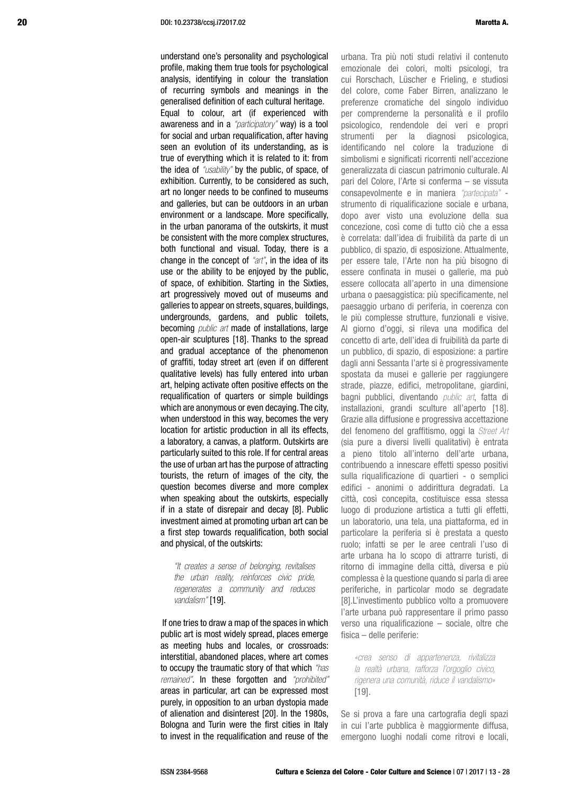understand one's personality and psychological profile, making them true tools for psychological analysis, identifying in colour the translation of recurring symbols and meanings in the generalised definition of each cultural heritage. Equal to colour, art (if experienced with awareness and in a *"participatory"* way) is a tool for social and urban requalification, after having seen an evolution of its understanding, as is true of everything which it is related to it: from the idea of *"usability"* by the public, of space, of exhibition. Currently, to be considered as such, art no longer needs to be confined to museums and galleries, but can be outdoors in an urban environment or a landscape. More specifically, in the urban panorama of the outskirts, it must be consistent with the more complex structures, both functional and visual. Today, there is a change in the concept of *"art"*, in the idea of its use or the ability to be enjoyed by the public, of space, of exhibition. Starting in the Sixties, art progressively moved out of museums and galleries to appear on streets, squares, buildings, undergrounds, gardens, and public toilets, becoming *public art* made of installations, large open-air sculptures [18]. Thanks to the spread and gradual acceptance of the phenomenon of graffiti, today street art (even if on different qualitative levels) has fully entered into urban art, helping activate often positive effects on the requalification of quarters or simple buildings which are anonymous or even decaying. The city, when understood in this way, becomes the very location for artistic production in all its effects, a laboratory, a canvas, a platform. Outskirts are particularly suited to this role. If for central areas the use of urban art has the purpose of attracting tourists, the return of images of the city, the question becomes diverse and more complex when speaking about the outskirts, especially if in a state of disrepair and decay [8]. Public investment aimed at promoting urban art can be a first step towards requalification, both social and physical, of the outskirts:

*"It creates a sense of belonging, revitalises the urban reality, reinforces civic pride, regenerates a community and reduces vandalism"* [19].

 If one tries to draw a map of the spaces in which public art is most widely spread, places emerge as meeting hubs and locales, or crossroads: interstitial, abandoned places, where art comes to occupy the traumatic story of that which *"has remained"*. In these forgotten and *"prohibited"*  areas in particular, art can be expressed most purely, in opposition to an urban dystopia made of alienation and disinterest [20]. In the 1980s, Bologna and Turin were the first cities in Italy to invest in the requalification and reuse of the urbana. Tra più noti studi relativi il contenuto emozionale dei colori, molti psicologi, tra cui Rorschach, Lüscher e Frieling, e studiosi del colore, come Faber Birren, analizzano le preferenze cromatiche del singolo individuo per comprenderne la personalità e il profilo psicologico, rendendole dei veri e propri strumenti per la diagnosi psicologica, identificando nel colore la traduzione di simbolismi e significati ricorrenti nell'accezione generalizzata di ciascun patrimonio culturale. Al pari del Colore, l'Arte si conferma – se vissuta consapevolmente e in maniera *"partecipata"* strumento di riqualificazione sociale e urbana. dopo aver visto una evoluzione della sua concezione, così come di tutto ciò che a essa è correlata: dall'idea di fruibilità da parte di un pubblico, di spazio, di esposizione. Attualmente, per essere tale, l'Arte non ha più bisogno di essere confinata in musei o gallerie, ma può essere collocata all'aperto in una dimensione urbana o paesaggistica: più specificamente, nel paesaggio urbano di periferia, in coerenza con le più complesse strutture, funzionali e visive. Al giorno d'oggi, si rileva una modifica del concetto di arte, dell'idea di fruibilità da parte di un pubblico, di spazio, di esposizione: a partire dagli anni Sessanta l'arte si è progressivamente spostata da musei e gallerie per raggiungere strade, piazze, edifici, metropolitane, giardini, bagni pubblici, diventando *public art*, fatta di installazioni, grandi sculture all'aperto [18]. Grazie alla diffusione e progressiva accettazione del fenomeno del graffitismo, oggi la *Street Art*  (sia pure a diversi livelli qualitativi) è entrata a pieno titolo all'interno dell'arte urbana, contribuendo a innescare effetti spesso positivi sulla riqualificazione di quartieri - o semplici edifici - anonimi o addirittura degradati. La città, così concepita, costituisce essa stessa luogo di produzione artistica a tutti gli effetti, un laboratorio, una tela, una piattaforma, ed in particolare la periferia si è prestata a questo ruolo; infatti se per le aree centrali l'uso di arte urbana ha lo scopo di attrarre turisti, di ritorno di immagine della città, diversa e più complessa è la questione quando si parla di aree periferiche, in particolar modo se degradate [8].L'investimento pubblico volto a promuovere l'arte urbana può rappresentare il primo passo verso una riqualificazione – sociale, oltre che fisica – delle periferie:

*«crea senso di appartenenza, rivitalizza la realtà urbana, rafforza l'orgoglio civico, rigenera una comunità, riduce il vandalismo»*  [19].

Se si prova a fare una cartografia degli spazi in cui l'arte pubblica è maggiormente diffusa, emergono luoghi nodali come ritrovi e locali,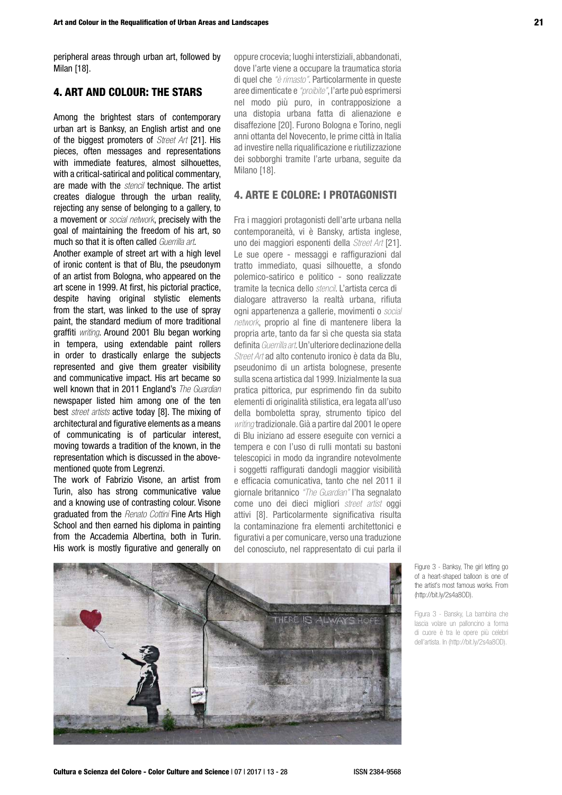peripheral areas through urban art, followed by Milan [18].

## 4. ART AND COLOUR: THE STARS

Among the brightest stars of contemporary urban art is Banksy, an English artist and one of the biggest promoters of *Street Art* [21]. His pieces, often messages and representations with immediate features, almost silhouettes, with a critical-satirical and political commentary, are made with the *stencil* technique. The artist creates dialogue through the urban reality, rejecting any sense of belonging to a gallery, to a movement or *social network*, precisely with the goal of maintaining the freedom of his art, so much so that it is often called *Guerrilla art*.

Another example of street art with a high level of ironic content is that of Blu, the pseudonym of an artist from Bologna, who appeared on the art scene in 1999. At first, his pictorial practice, despite having original stylistic elements from the start, was linked to the use of spray paint, the standard medium of more traditional graffiti *writing*. Around 2001 Blu began working in tempera, using extendable paint rollers in order to drastically enlarge the subjects represented and give them greater visibility and communicative impact. His art became so well known that in 2011 England's *The Guardian* newspaper listed him among one of the ten best *street artists* active today [8]. The mixing of architectural and figurative elements as a means of communicating is of particular interest, moving towards a tradition of the known, in the representation which is discussed in the abovementioned quote from Legrenzi.

The work of Fabrizio Visone, an artist from Turin, also has strong communicative value and a knowing use of contrasting colour. Visone graduated from the *Renato Cottini* Fine Arts High School and then earned his diploma in painting from the Accademia Albertina, both in Turin. His work is mostly figurative and generally on

oppure crocevia; luoghi interstiziali, abbandonati, dove l'arte viene a occupare la traumatica storia di quel che *"è rimasto"*. Particolarmente in queste aree dimenticate e *"proibite"*, l'arte può esprimersi nel modo più puro, in contrapposizione a una distopia urbana fatta di alienazione e disaffezione [20]. Furono Bologna e Torino, negli anni ottanta del Novecento, le prime città in Italia ad investire nella riqualificazione e riutilizzazione dei sobborghi tramite l'arte urbana, seguite da Milano [18].

## 4. ARTE E COLORE: I PROTAGONISTI

Fra i maggiori protagonisti dell'arte urbana nella contemporaneità, vi è Bansky, artista inglese, uno dei maggiori esponenti della *Street Art* [21]. Le sue opere - messaggi e raffigurazioni dal tratto immediato, quasi silhouette, a sfondo polemico-satirico e politico - sono realizzate tramite la tecnica dello *stencil*. L'artista cerca di dialogare attraverso la realtà urbana, rifiuta ogni appartenenza a gallerie, movimenti o *social network*, proprio al fine di mantenere libera la propria arte, tanto da far sì che questa sia stata definita *Guerrilla art*. Un'ulteriore declinazione della *Street Art* ad alto contenuto ironico è data da Blu, pseudonimo di un artista bolognese, presente sulla scena artistica dal 1999. Inizialmente la sua pratica pittorica, pur esprimendo fin da subito elementi di originalità stilistica, era legata all'uso della bomboletta spray, strumento tipico del *writing* tradizionale. Già a partire dal 2001 le opere di Blu iniziano ad essere eseguite con vernici a tempera e con l'uso di rulli montati su bastoni telescopici in modo da ingrandire notevolmente i soggetti raffigurati dandogli maggior visibilità e efficacia comunicativa, tanto che nel 2011 il giornale britannico *"The Guardian"* l'ha segnalato come uno dei dieci migliori *street artist* oggi attivi [8]. Particolarmente significativa risulta la contaminazione fra elementi architettonici e figurativi a per comunicare, verso una traduzione del conosciuto, nel rappresentato di cui parla il



Figure 3 - Banksy, The girl letting go of a heart-shaped balloon is one of the artist's most famous works. From (http://bit.ly/2s4a8OD).

Figura 3 - Bansky, La bambina che lascia volare un palloncino a forma di cuore è tra le opere più celebri dell'artista. In (http://bit.ly/2s4a8OD).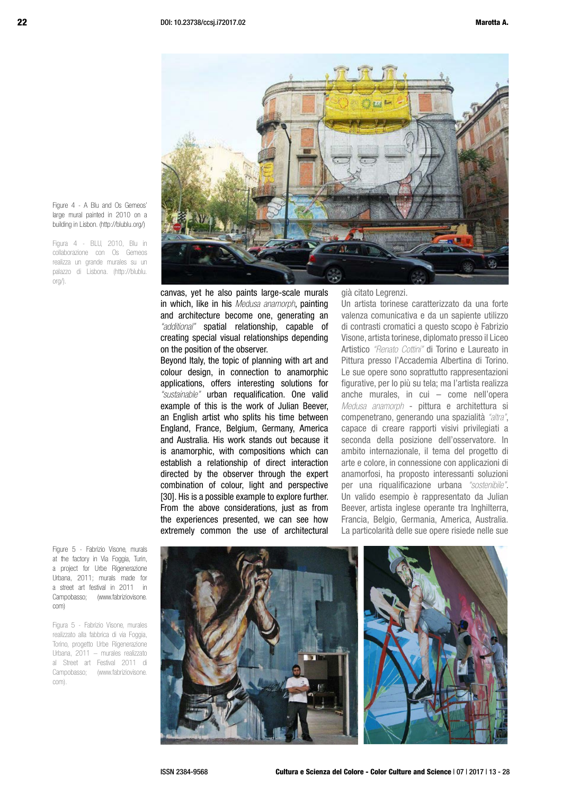

Figure 4 - A Blu and Os Gemeos' large mural painted in 2010 on a building in Lisbon. (http://blublu.org/)

Figura 4 - BLU, 2010, Blu in collaborazione con Os Gemeos realizza un grande murales su un palazzo di Lisbona. (http://blublu.  $or\alpha$ ).

> canvas, yet he also paints large-scale murals in which, like in his *Medusa anamorph*, painting and architecture become one, generating an *"additional"* spatial relationship, capable of creating special visual relationships depending on the position of the observer.

> Beyond Italy, the topic of planning with art and colour design, in connection to anamorphic applications, offers interesting solutions for *"sustainable"* urban requalification. One valid example of this is the work of Julian Beever, an English artist who splits his time between England, France, Belgium, Germany, America and Australia. His work stands out because it is anamorphic, with compositions which can establish a relationship of direct interaction directed by the observer through the expert combination of colour, light and perspective [30]. His is a possible example to explore further. From the above considerations, just as from the experiences presented, we can see how extremely common the use of architectural

già citato Legrenzi.

Un artista torinese caratterizzato da una forte valenza comunicativa e da un sapiente utilizzo di contrasti cromatici a questo scopo è Fabrizio Visone, artista torinese, diplomato presso il Liceo Artistico *"Renato Cottini"* di Torino e Laureato in Pittura presso l'Accademia Albertina di Torino. Le sue opere sono soprattutto rappresentazioni figurative, per lo più su tela; ma l'artista realizza anche murales, in cui – come nell'opera *Medusa anamorph* - pittura e architettura si compenetrano, generando una spazialità *"altra"*, capace di creare rapporti visivi privilegiati a seconda della posizione dell'osservatore. In ambito internazionale, il tema del progetto di arte e colore, in connessione con applicazioni di anamorfosi, ha proposto interessanti soluzioni per una riqualificazione urbana *"sostenibile"*. Un valido esempio è rappresentato da Julian Beever, artista inglese operante tra Inghilterra, Francia, Belgio, Germania, America, Australia. La particolarità delle sue opere risiede nelle sue

Figure 5 - Fabrizio Visone, murals at the factory in Via Foggia, Turin, a project for Urbe Rigenerazione Urbana, 2011; murals made for a street art festival in 2011 in Campobasso; (www.fabriziovisone. com)

Figura 5 - Fabrizio Visone, murales realizzato alla fabbrica di via Foggia, Torino, progetto Urbe Rigenerazione Urbana, 2011 – murales realizzato al Street art Festival 2011 di Campobasso; (www.fabriziovisone. com).

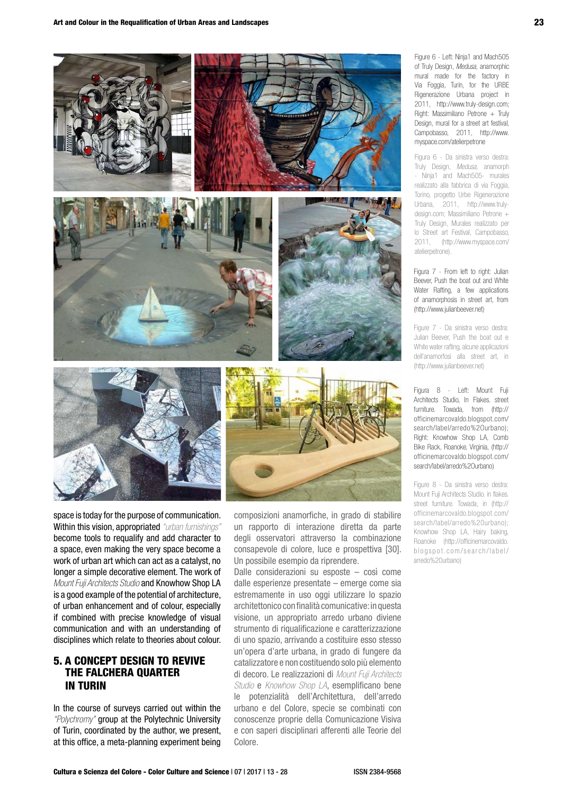

space is today for the purpose of communication. Within this vision, appropriated *"urban furnishings"* become tools to requalify and add character to a space, even making the very space become a work of urban art which can act as a catalyst, no longer a simple decorative element. The work of *Mount Fuji Architects Studio* and Knowhow Shop LA is a good example of the potential of architecture, of urban enhancement and of colour, especially if combined with precise knowledge of visual communication and with an understanding of disciplines which relate to theories about colour.

## 5. A CONCEPT DESIGN TO REVIVE THE FALCHERA QUARTER IN TURIN

In the course of surveys carried out within the *"Polychromy"* group at the Polytechnic University of Turin, coordinated by the author, we present, at this office, a meta-planning experiment being

composizioni anamorfiche, in grado di stabilire un rapporto di interazione diretta da parte degli osservatori attraverso la combinazione consapevole di colore, luce e prospettiva [30]. Un possibile esempio da riprendere.

Dalle considerazioni su esposte – così come dalle esperienze presentate – emerge come sia estremamente in uso oggi utilizzare lo spazio architettonico con finalità comunicative: in questa visione, un appropriato arredo urbano diviene strumento di riqualificazione e caratterizzazione di uno spazio, arrivando a costituire esso stesso un'opera d'arte urbana, in grado di fungere da catalizzatore e non costituendo solo più elemento di decoro. Le realizzazioni di *Mount Fuji Architects Studio* e *Knowhow Shop LA*, esemplificano bene le potenzialità dell'Architettura, dell'arredo urbano e del Colore, specie se combinati con conoscenze proprie della Comunicazione Visiva e con saperi disciplinari afferenti alle Teorie del Colore.

Figure 6 - Left: Ninja1 and Mach505 of Truly Design, *Medusa*, anamorphic mural made for the factory in Via Foggia, Turin, for the URBE Rigenerazione Urbana project in 2011, http://www.truly-design.com; Right: Massimiliano Petrone + Truly Design, mural for a street art festival, Campobasso, 2011, http://www. myspace.com/atelierpetrone

Figura 6 - Da sinistra verso destra: Truly Design, *Medusa*, anamorph - Ninja1 and Mach505- murales realizzato alla fabbrica di via Foggia, Torino, progetto Urbe Rigenerazione Urbana, 2011, http://www.trulydesign.com; Massimiliano Petrone + Truly Design, Murales realizzato per lo Street art Festival, Campobasso, 2011, (http://www.myspace.com/ atelierpetrone).

Figura 7 - From left to right: Julian Beever, Push the boat out and White Water Rafting, a few applications of anamorphosis in street art, from (http://www.julianbeever.net)

Figure 7 - Da sinistra verso destra: Julian Beever, Push the boat out e White water rafting, alcune applicazioni dell'anamorfosi alla street art, in (http://www.julianbeever.net)

Figura 8 - Left: Mount Fuji Architects Studio, In Flakes. street furniture. Towada, from (http:// officinemarcovaldo.blogspot.com/ search/label/arredo%2Ourbano); Right: Knowhow Shop LA, Comb Bike Rack, Roanoke, Virginia, (http:// officinemarcovaldo.blogspot.com/ search/label/arredo%2Ourbano)

Figure 8 - Da sinistra verso destra: Mount Fuji Architects Studio. in flakes. street furniture. Towada, in (http:// officinemarcovaldo.blogspot.com/ search/label/arredo%20urbano); Knowhow Shop LA, Hairy baking, Roanoke (http://officinemarcovaldo. blogspot.com/search/label/ arredo%20urbano)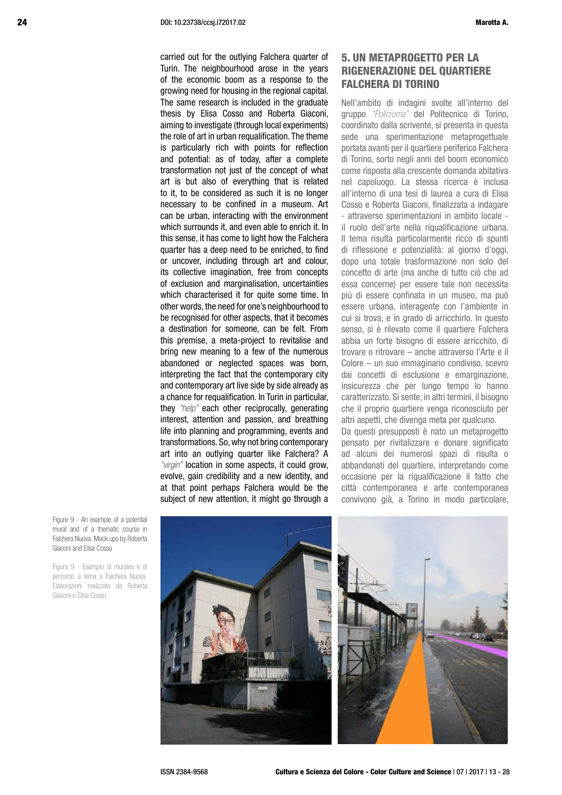carried out for the outlying Falchera quarter of Turin. The neighbourhood arose in the years of the economic boom as a response to the growing need for housing in the regional capital. The same research is included in the graduate thesis by Elisa Cosso and Roberta Giaconi, aiming to investigate (through local experiments) the role of art in urban requalification. The theme is particularly rich with points for reflection and potential: as of today, after a complete transformation not just of the concept of what art is but also of everything that is related to it, to be considered as such it is no longer necessary to be confined in a museum. Art can be urban, interacting with the environment which surrounds it, and even able to enrich it. In this sense, it has come to light how the Falchera quarter has a deep need to be enriched, to find or uncover, including through art and colour, its collective imagination, free from concepts of exclusion and marginalisation, uncertainties which characterised it for quite some time. In other words, the need for one's neighbourhood to be recognised for other aspects, that it becomes a destination for someone, can be felt. From this premise, a meta-project to revitalise and bring new meaning to a few of the numerous abandoned or neglected spaces was born, interpreting the fact that the contemporary city and contemporary art live side by side already as a chance for requalification. In Turin in particular, they *"help"* each other reciprocally, generating interest, attention and passion, and breathing life into planning and programming, events and transformations. So, why not bring contemporary art into an outlying quarter like Falchera? A *"virgin"* location in some aspects, it could grow, evolve, gain credibility and a new identity, and at that point perhaps Falchera would be the subject of new attention, it might go through a

## 5. UN METAPROGETTO PER LA RIGENERAZIONE DEL QUARTIERE FALCHERA DI TORINO

Nell'ambito di indagini svolte all'interno del gruppo *"Policroma"* del Politecnico di Torino, coordinato dalla scrivente, si presenta in questa sede una sperimentazione metaprogettuale portata avanti per il quartiere periferico Falchera di Torino, sorto negli anni del boom economico come risposta alla crescente domanda abitativa nel capoluogo. La stessa ricerca è inclusa all'interno di una tesi di laurea a cura di Elisa Cosso e Roberta Giaconi, finalizzata a indagare - attraverso sperimentazioni in ambito locale il ruolo dell'arte nella riqualificazione urbana. Il tema risulta particolarmente ricco di spunti di riflessione e potenzialità: al giorno d'oggi, dopo una totale trasformazione non solo del concetto di arte (ma anche di tutto ciò che ad essa concerne) per essere tale non necessita più di essere confinata in un museo, ma può essere urbana, interagente con l'ambiente in cui si trova, e in grado di arricchirlo. In questo senso, si è rilevato come il quartiere Falchera abbia un forte bisogno di essere arricchito, di trovare o ritrovare – anche attraverso l'Arte e il Colore – un suo immaginario condiviso, scevro dai concetti di esclusione e emarginazione, insicurezza che per lungo tempo lo hanno caratterizzato. Si sente, in altri termini, il bisogno che il proprio quartiere venga riconosciuto per altri aspetti, che divenga meta per qualcuno.

Da questi presupposti è nato un metaprogetto pensato per rivitalizzare e donare significato ad alcuni dei numerosi spazi di risulta o abbandonati del quartiere, interpretando come occasione per la riqualificazione il fatto che città contemporanea e arte contemporanea convivono già, a Torino in modo particolare,

Figure 9 - An example of a potential mural and of a thematic course in Falchera Nuova. Mock ups by Roberta Giaconi and Elisa Cosso

Figura 9 - Esempio di murales e di percorso a tema a Falchera Nuova. Elaborazioni realizzate da Roberta Giaconi e Elisa Cosso

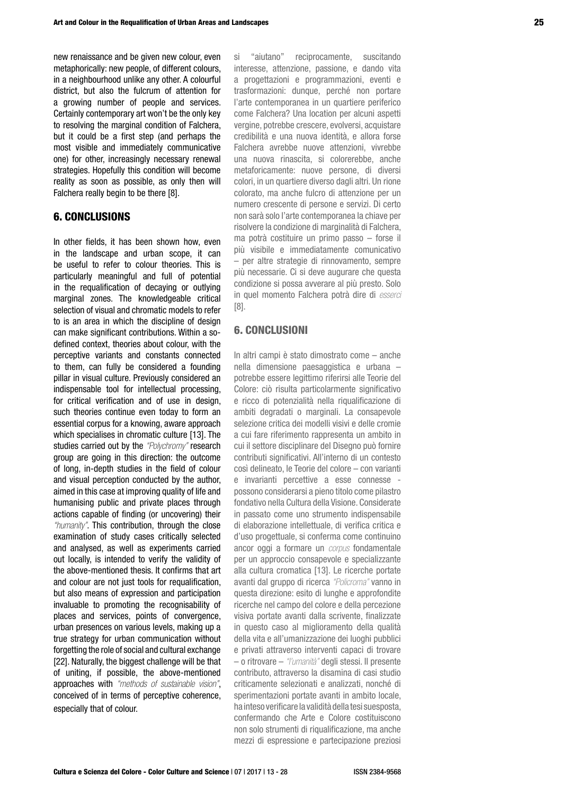new renaissance and be given new colour, even metaphorically: new people, of different colours, in a neighbourhood unlike any other. A colourful district, but also the fulcrum of attention for a growing number of people and services. Certainly contemporary art won't be the only key to resolving the marginal condition of Falchera, but it could be a first step (and perhaps the most visible and immediately communicative one) for other, increasingly necessary renewal strategies. Hopefully this condition will become reality as soon as possible, as only then will Falchera really begin to be there [8].

#### 6. CONCLUSIONS

In other fields, it has been shown how, even in the landscape and urban scope, it can be useful to refer to colour theories. This is particularly meaningful and full of potential in the requalification of decaying or outlying marginal zones. The knowledgeable critical selection of visual and chromatic models to refer to is an area in which the discipline of design can make significant contributions. Within a sodefined context, theories about colour, with the perceptive variants and constants connected to them, can fully be considered a founding pillar in visual culture. Previously considered an indispensable tool for intellectual processing, for critical verification and of use in design, such theories continue even today to form an essential corpus for a knowing, aware approach which specialises in chromatic culture [13]. The studies carried out by the *"Polychromy"* research group are going in this direction: the outcome of long, in-depth studies in the field of colour and visual perception conducted by the author, aimed in this case at improving quality of life and humanising public and private places through actions capable of finding (or uncovering) their *"humanity"*. This contribution, through the close examination of study cases critically selected and analysed, as well as experiments carried out locally, is intended to verify the validity of the above-mentioned thesis. It confirms that art and colour are not just tools for requalification, but also means of expression and participation invaluable to promoting the recognisability of places and services, points of convergence, urban presences on various levels, making up a true strategy for urban communication without forgetting the role of social and cultural exchange [22]. Naturally, the biggest challenge will be that of uniting, if possible, the above-mentioned approaches with *"methods of sustainable vision"*, conceived of in terms of perceptive coherence, especially that of colour.

si "aiutano" reciprocamente, suscitando interesse, attenzione, passione, e dando vita a progettazioni e programmazioni, eventi e trasformazioni: dunque, perché non portare l'arte contemporanea in un quartiere periferico come Falchera? Una location per alcuni aspetti vergine, potrebbe crescere, evolversi, acquistare credibilità e una nuova identità, e allora forse Falchera avrebbe nuove attenzioni, vivrebbe una nuova rinascita, si colorerebbe, anche metaforicamente: nuove persone, di diversi colori, in un quartiere diverso dagli altri. Un rione colorato, ma anche fulcro di attenzione per un numero crescente di persone e servizi. Di certo non sarà solo l'arte contemporanea la chiave per risolvere la condizione di marginalità di Falchera, ma potrà costituire un primo passo – forse il più visibile e immediatamente comunicativo – per altre strategie di rinnovamento, sempre più necessarie. Ci si deve augurare che questa condizione si possa avverare al più presto. Solo in quel momento Falchera potrà dire di *esserci* [8].

#### 6. CONCLUSIONI

In altri campi è stato dimostrato come – anche nella dimensione paesaggistica e urbana – potrebbe essere legittimo riferirsi alle Teorie del Colore: ciò risulta particolarmente significativo e ricco di potenzialità nella riqualificazione di ambiti degradati o marginali. La consapevole selezione critica dei modelli visivi e delle cromie a cui fare riferimento rappresenta un ambito in cui il settore disciplinare del Disegno può fornire contributi significativi. All'interno di un contesto così delineato, le Teorie del colore – con varianti e invarianti percettive a esse connesse possono considerarsi a pieno titolo come pilastro fondativo nella Cultura della Visione. Considerate in passato come uno strumento indispensabile di elaborazione intellettuale, di verifica critica e d'uso progettuale, si conferma come continuino ancor oggi a formare un *corpus* fondamentale per un approccio consapevole e specializzante alla cultura cromatica [13]. Le ricerche portate avanti dal gruppo di ricerca *"Policroma"* vanno in questa direzione: esito di lunghe e approfondite ricerche nel campo del colore e della percezione visiva portate avanti dalla scrivente, finalizzate in questo caso al miglioramento della qualità della vita e all'umanizzazione dei luoghi pubblici e privati attraverso interventi capaci di trovare – o ritrovare – *"l'umanità"* degli stessi. Il presente contributo, attraverso la disamina di casi studio criticamente selezionati e analizzati, nonché di sperimentazioni portate avanti in ambito locale, ha inteso verificare la validità della tesi suesposta, confermando che Arte e Colore costituiscono non solo strumenti di riqualificazione, ma anche mezzi di espressione e partecipazione preziosi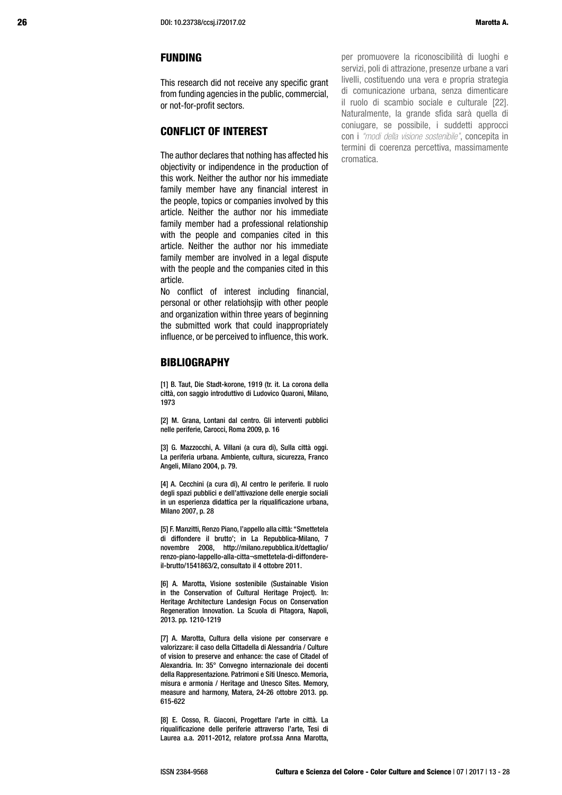#### FUNDING

This research did not receive any specific grant from funding agencies in the public, commercial, or not-for-profit sectors.

## CONFLICT OF INTEREST

The author declares that nothing has affected his objectivity or indipendence in the production of this work. Neither the author nor his immediate family member have any financial interest in the people, topics or companies involved by this article. Neither the author nor his immediate family member had a professional relationship with the people and companies cited in this article. Neither the author nor his immediate family member are involved in a legal dispute with the people and the companies cited in this article.

No conflict of interest including financial, personal or other relatiohsjip with other people and organization within three years of beginning the submitted work that could inappropriately influence, or be perceived to influence, this work.

#### BIBLIOGRAPHY

[1] B. Taut, Die Stadt-korone, 1919 (tr. it. La corona della città, con saggio introduttivo di Ludovico Quaroni, Milano, 1973

[2] M. Grana, Lontani dal centro. Gli interventi pubblici nelle periferie, Carocci, Roma 2009, p. 16

[3] G. Mazzocchi, A. Villani (a cura di), Sulla città oggi. La periferia urbana. Ambiente, cultura, sicurezza, Franco Angeli, Milano 2004, p. 79.

[4] A. Cecchini (a cura di), Al centro le periferie. Il ruolo degli spazi pubblici e dell'attivazione delle energie sociali in un esperienza didattica per la riqualificazione urbana, Milano 2007, p. 28

[5] F. Manzitti, Renzo Piano, l'appello alla città: "Smettetela di diffondere il brutto'; in La Repubblica-Milano, 7 novembre 2008, http://milano.repubblica.it/dettaglio/ renzo-piano-lappello-alla-citta¬smettetela-di-diffondereil-brutto/1541863/2, consultato il 4 ottobre 2011.

[6] A. Marotta, Visione sostenibile (Sustainable Vision in the Conservation of Cultural Heritage Project). In: Heritage Architecture Landesign Focus on Conservation Regeneration Innovation. La Scuola di Pitagora, Napoli, 2013. pp. 1210-1219

[7] A. Marotta, Cultura della visione per conservare e valorizzare: il caso della Cittadella di Alessandria / Culture of vision to preserve and enhance: the case of Citadel of Alexandria. In: 35° Convegno internazionale dei docenti della Rappresentazione. Patrimoni e Siti Unesco. Memoria, misura e armonia / Heritage and Unesco Sites. Memory, measure and harmony, Matera, 24-26 ottobre 2013. pp. 615-622

[8] E. Cosso, R. Giaconi, Progettare l'arte in città. La riqualificazione delle periferie attraverso l'arte, Tesi di Laurea a.a. 2011-2012, relatore prof.ssa Anna Marotta, per promuovere la riconoscibilità di luoghi e servizi, poli di attrazione, presenze urbane a vari livelli, costituendo una vera e propria strategia di comunicazione urbana, senza dimenticare il ruolo di scambio sociale e culturale [22]. Naturalmente, la grande sfida sarà quella di coniugare, se possibile, i suddetti approcci con i *"modi della visione sostenibile"*, concepita in termini di coerenza percettiva, massimamente cromatica.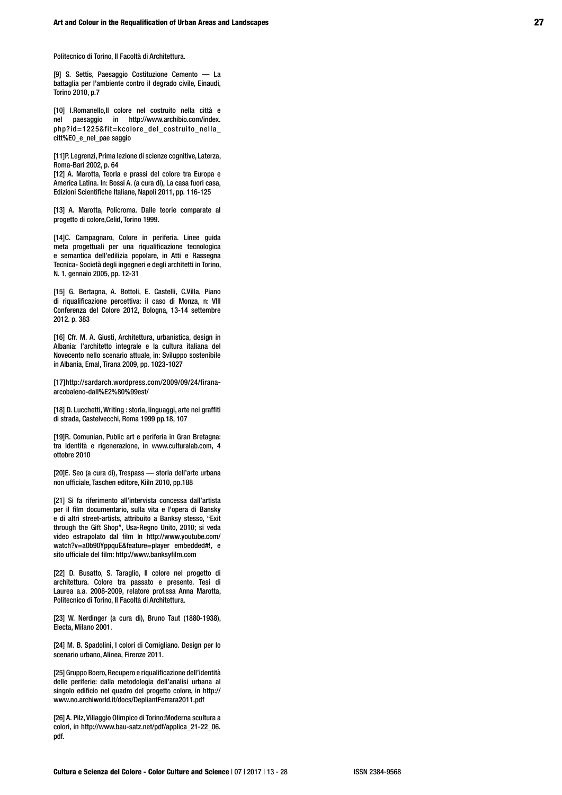Politecnico di Torino, II Facoltà di Architettura.

[9] S. Settis, Paesaggio Costituzione Cemento — La battaglia per l'ambiente contro il degrado civile, Einaudi, Torino 2010, p.7

[10] I.Romanello,Il colore nel costruito nella città e nel paesaggio in http://www.archibio.com/index. php?id=1225&fit=kcolore\_del\_costruito\_nella\_ citt%E0\_e\_nel\_pae saggio

[11]P. Legrenzi, Prima lezione di scienze cognitive, Laterza, Roma-Bari 2002, p. 64

[12] A. Marotta, Teoria e prassi del colore tra Europa e America Latina. In: Bossi A. (a cura di), La casa fuori casa, Edizioni Scientifiche Italiane, Napoli 2011, pp. 116-125

[13] A. Marotta, Policroma. Dalle teorie comparate al progetto di colore,Celid, Torino 1999.

[14]C. Campagnaro, Colore in periferia. Linee guida meta progettuali per una riqualificazione tecnologica e semantica dell'edilizia popolare, in Atti e Rassegna Tecnica- Società degli ingegneri e degli architetti in Torino, N. 1, gennaio 2005, pp. 12-31

[15] G. Bertagna, A. Bottoli, E. Castelli, C.Villa, Piano di riqualificazione percettiva: il caso di Monza, n: VIII Conferenza del Colore 2012, Bologna, 13-14 settembre 2012. p. 383

[16] Cfr. M. A. Giusti, Architettura, urbanistica, design in Albania: l'architetto integrale e la cultura italiana del Novecento nello scenario attuale, in: Sviluppo sostenibile in Albania, Emal, Tirana 2009, pp. 1023-1027

[17]http://sardarch.wordpress.com/2009/09/24/firanaarcobaleno-dall%E2%80%99est/

[18] D. Lucchetti, Writing : storia, linguaggi, arte nei graffiti di strada, Castelvecchi, Roma 1999 pp.18, 107

[19]R. Comunian, Public art e periferia in Gran Bretagna: tra identità e rigenerazione, in www.culturalab.com, 4 ottobre 2010

[20]E. Seo (a cura di), Trespass — storia dell'arte urbana non ufficiale, Taschen editore, Kiiln 2010, pp.188

[21] Si fa riferimento all'intervista concessa dall'artista per il film documentario, sulla vita e l'opera di Bansky e di altri street-artists, attribuito a Banksy stesso, "Exit through the Gift Shop", Usa-Regno Unito, 2010; si veda video estrapolato dal film In http://www.youtube.com/ watch?v=a0b90YppquE&feature=player embedded#!, e sito ufficiale del film: http://www.banksyfilm.com

[22] D. Busatto, S. Taraglio, Il colore nel progetto di architettura. Colore tra passato e presente. Tesi di Laurea a.a. 2008-2009, relatore prof.ssa Anna Marotta, Politecnico di Torino, II Facoltà di Architettura.

[23] W. Nerdinger (a cura di), Bruno Taut (1880-1938), Electa, Milano 2001.

[24] M. B. Spadolini, I colori di Cornigliano. Design per lo scenario urbano, Alinea, Firenze 2011.

[25] Gruppo Boero, Recupero e riqualificazione dell'identità delle periferie: dalla metodologia dell'analisi urbana al singolo edificio nel quadro del progetto colore, in http:// www.no.archiworld.it/docs/DepliantFerrara2011.pdf

[26] A. Pilz, Villaggio Olimpico di Torino:Moderna scultura a colori, in http://www.bau-satz.net/pdf/applica\_21-22\_06. pdf.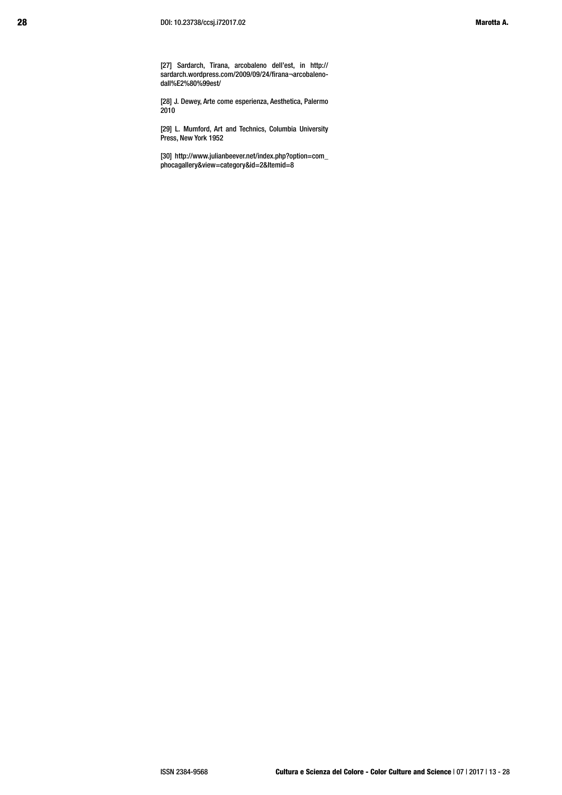[27] Sardarch, Tirana, arcobaleno dell'est, in http:// sardarch.wordpress.com/2009/09/24/firana¬arcobalenodall%E2%80%99est/

[28] J. Dewey, Arte come esperienza, Aesthetica, Palermo 2010

[29] L. Mumford, Art and Technics, Columbia University Press, New York 1952

[30] http://www.julianbeever.net/index.php?option=com\_ phocagallery&view=category&id=2&Itemid=8